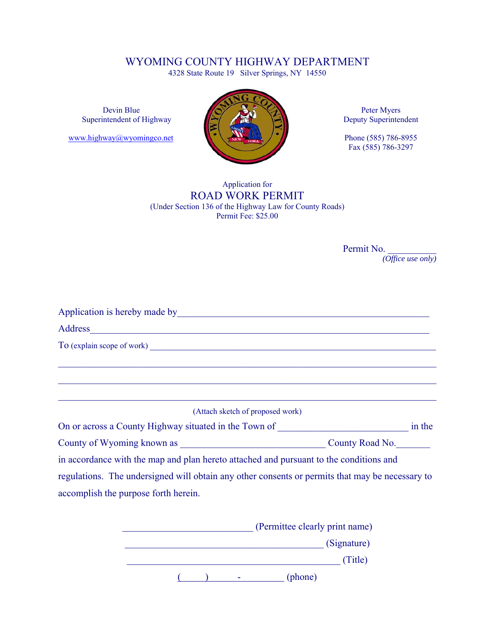## WYOMING COUNTY HIGHWAY DEPARTMENT

4328 State Route 19 Silver Springs, NY 14550



Fax (585) 786-3297

### Application for ROAD WORK PERMIT (Under Section 136 of the Highway Law for County Roads) Permit Fee: \$25.00

Permit No. *(Office use only)* 

| Address and the contract of the contract of the contract of the contract of the contract of the contract of the contract of the contract of the contract of the contract of the contract of the contract of the contract of th |        |
|--------------------------------------------------------------------------------------------------------------------------------------------------------------------------------------------------------------------------------|--------|
|                                                                                                                                                                                                                                |        |
|                                                                                                                                                                                                                                |        |
|                                                                                                                                                                                                                                |        |
|                                                                                                                                                                                                                                |        |
| (Attach sketch of proposed work)                                                                                                                                                                                               |        |
| On or across a County Highway situated in the Town of __________________________                                                                                                                                               | in the |
|                                                                                                                                                                                                                                |        |
| in accordance with the map and plan hereto attached and pursuant to the conditions and                                                                                                                                         |        |
| regulations. The undersigned will obtain any other consents or permits that may be necessary to                                                                                                                                |        |
| accomplish the purpose forth herein.                                                                                                                                                                                           |        |
| (Permittee clearly print name)                                                                                                                                                                                                 |        |

| (Signature) |  |  |
|-------------|--|--|
| (Title)     |  |  |
| (phone)     |  |  |